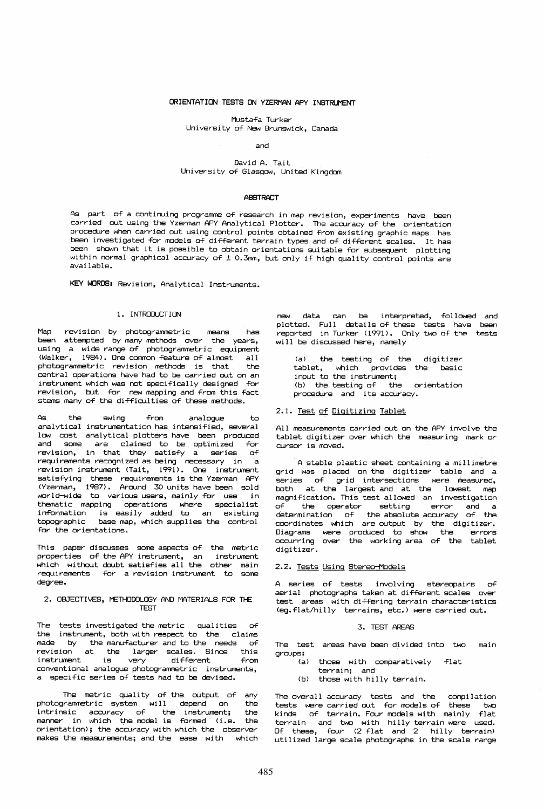## ORIENTATION TESTS ON YZERMAN APY INSTRUMENT

Mustafa Turker

# University of New Brunswick, Canada

### and

# David A. Tait University of Glasgow, United Kingdom

### **ABSTRACT**

As part of a continuing programme of research in map revision, experiments have been carried out using the Yzerman APY Analytical Plotter. The accuracy of the orientation procedure when carried out using control points obtained from existing graphic maps has been investigated for models of different terrain types and of different scales. It has been shown that it is possible to obtain orientations suitable for subsequent plotting within normal graphical accuracy of  $\pm$  0.3mm, but only if high quality control points are available.

KEY WORDS: Revision, Analytical Instruments.

### 1. INTRODUCTION

Map revision by photogrammetric means has been attempted by many methods over the years, using a wide range of photogrammetric equipment (Walker, 1984). One common feature of almost all<br>photogrammetric revision methods is that the photogrammetric revision methods is that central operations have had to be carried out on an instrument which was not specifically designed for revision, but for new mapping and from this fact stems many of the di fficul ties of these methods.

As the swing from analogue to analytical instrumentation has intensified, several low cost analytical plotters have been produced and some are claimed to be optimized Tor revision, in that they satisfy a series requirements recognized as being necessary in a revision instrument (Tait, 1991). One instrument satisTying these requirements is the Yzerman APY (Yzerman, 1987). Around 30 units. have been sold world-wide to various users, mainly for use in thematic mapping operations where specialist in-formation is easily added to an existing topographic base map, which supplies the control for the orientations.

This paper discusses some aspects of the metric properties of the APY instrument, an instrument which without doubt satisfies all the other main requirements for a revision instrument to some degree.

# 2. OBJECTIVES, METHODOLOGY AND MATERIALS FOR THE TEST

The tests investigated the metric qualities the instrument, both with respect to the claims<br>made by the manufacturer and to the peeds of by the manufacturer and to the needs of revision at the larger scales. Since this instrument is very different from conventional analogue photogrammetric instruments, a specific series of tests had to be devised.

The metric quality of the output of any<br>grammetric system will depend on the photogrammetric system will depend on the .<br>intrinsic accuracy of the instrument; the intrinsic accuracy of the instrument; the<br>manner in which the model is formed (i.e. the orientation); the accuracy with which the observer makes the measurements; and the ease with which

new data can be interpreted, followed and plotted. Full details of these tests have plotted. Full details of these tests have been<br>reported in Turker (1991). Only two of the tests will be discussed here, namely tests

*(a)* the testing of the digitizer tablet, which provides the basic input to the instrument; (b) the testing of the orientation<br>procedure and its accuracy.

### 2.1. Test of Digitizing Tablet

All measurements carried out on the APY involve the tablet digitizer over which the measuring mark or cursor is moved.

A stable plastic sheet containing a millimetre grid was placed on the digitizer table and a series of grid intersections were measured, both at the largest and at the lowest map magnification. This test allowed an investigation of the operator setting error and a determination of the absolute accuracy of the coordinates which are output by the digitizer. Diagrams were produced to show the errors occurring over the working area of the tablet digitizer.

### 2.2. Tests Using Stereo-Models

A series of tests involving stereopairs of aerial photographs taken at different scales over test areas with differing terrain characteristics (eg.flat/hilly terrains, etc.) were carried out.

#### 3. TEST AREAS

The test areas have been divided into two main groups:

- (a) those with comparatively flat
- terrain; and'
- (b) those with hilly terrain.

The overall accuracy tests and the compilation tests were carried out Tor models of these two kinds of terrain. Four models with mainly flat terrain and two with hilly terrain were used. Of these, four (2 flat and 2 hilly terrain) utilized large scale photographs in the scale range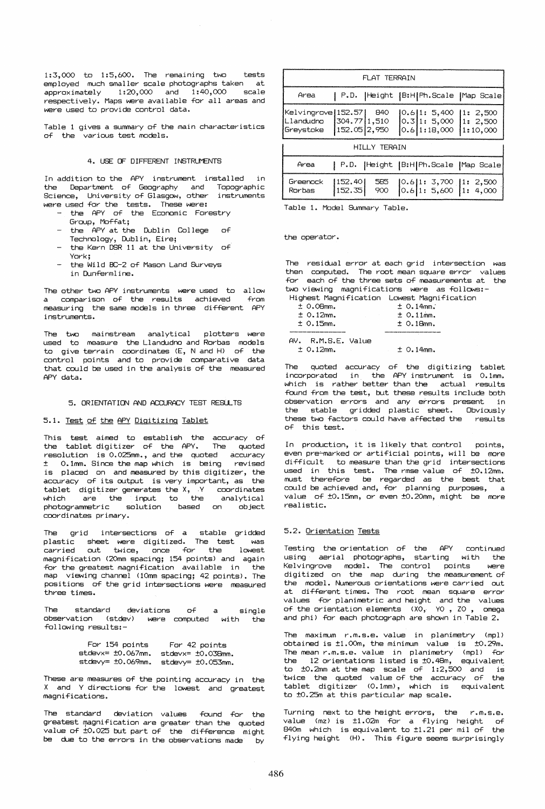1:3,000 to 1:5,600. The remaining two tests employed much smaller scale photographs taken at<br>approximately 1:20,000 and 1:40,000 scale  $1:20,000$  and  $1:40,000$  scale ~espectively. Maps we~e available fo~ all a~eas and were used to provide control data.

Table 1 gives a summary of the main characteristics of the various test models.

# 4. USE OF DIFFERENT INSTRUMENTS

In addition to the APY instrument installed in the Department of Geography and Topographic Science, University of Glasgow, other instruments were used for the tests. These were:

- the APY of the Economic Forestry G~oup, Moffat;
- the APY at the Dublin College of Technology, Dublin, Eire;
- the Kern DSR 11 at the University of York:
- the Wild BC-2 of Mason Land Surveys in Dunfe~ml ine.

The other two APY instruments were used to allow a compa~ison of the ~esults achieved measuring the same models in three different APY instruments. from

The two mainstream analytical plotters were used to measure the Llandudno and Rorbas models to give terrain coordinates (E, N and H) of the cont~ol points and to p~ovide compa~ative data that could be used in the analysis of the measured APY data.

# 5. ORIENTATION AND ACCURACY TEST RESULTS

### 5.1. Test of the APY Digitizing Tablet

This test aimed to establish the accuracy of the tablet digitizer of the APY. The quoted ~esolution is 0.025mm., and the quoted accu~acy  $±$  0.1mm. Since the map which is being is placed on and measured by this digitizer, the accuracy of its output is very important, as the tablet digitizer generates the X,  $Y$  coordinates which a~e' the input to the analytical photog~ammet~ic solution based on object coordinates primary.

The grid intersections of a stable gridded plastic sheet were digitized. The test was<br>carried out twice. once for the lowest out twice, once for the lowest magnification (2Omm spacing; 154 points) and again for the greatest magnification available in the map viewing channel (1Omm spacing; 42 points). The positions of the grid intersections were measured three times.

The standard deviations of observation (stdev) were computed with the following results:a single

| For 154 points          | For 42 points           |
|-------------------------|-------------------------|
| $stdevx = ±0.067$ mm.   | $stdevx = \pm 0.038mm.$ |
| $stdevy = \pm 0.069mm.$ | stdevy= ±0.053mm.       |

These are measures of the pointing accuracy in the X and Y directions for the lowest and greatest magnifications.

The standard deviation values found for the greatest magnification are greater than the quoted  $value$  of  $\pm 0.025$  but part of the difference might be due to the errors in the observations made by

| FLAT TERRAIN                         |  |  |                                                                                                                                                                                             |  |  |
|--------------------------------------|--|--|---------------------------------------------------------------------------------------------------------------------------------------------------------------------------------------------|--|--|
| Area                                 |  |  | P.D.   Height   B:H  Ph. Scale   Map Scale                                                                                                                                                  |  |  |
| Kelvingrove 152.57  840<br>Greystoke |  |  | $[0.6]1: 5,400$ $[1: 2,500]$<br>  Llandudno   304.77   1,510   0.3   1: 5,000   1: 2,500  <br>$\left  \frac{152.05}{2.950} \right $ $\left  0.6 \right $ 1:18,000 $\left  1:10,000 \right $ |  |  |
| <b>HILLY TERAIN</b>                  |  |  |                                                                                                                                                                                             |  |  |
| Area                                 |  |  | P.D.   Height   B:H  Ph.Scale   Map Scale                                                                                                                                                   |  |  |
| Greenock<br>Rorbas                   |  |  | 152.40  585   0.6  1: 3,700   1: 2,500<br> 152.35  900   0.6  1: 5,600   1: 4,000                                                                                                           |  |  |

Table 1. Model Summary Table.

the operator.

The residual error at each grid intersection was then computed. The root mean square error values for each of the three sets of measurements at the two viewing magnifications were as follows:-Highest Magnification Lowest Magnification

| $±0.08$ mm.     | $± 0.14$ mm. |
|-----------------|--------------|
| $± 0.12$ mm.    | $± 0.11$ mm. |
| $± 0.15$ mm.    | $± 0.18$ mm. |
|                 |              |
| W<br>DMCC Unlum |              |

AV. R.M.S.E. Value ± 0.12mm.  $+ 0.14$ mm.

The quoted accuracy of the digitizing tablet incorporated in the APY instrument is 0.1mm. which is rather better than the actual results found from the test, but these results include both observation errors and any errors present in the stable gridded plastic sheet. Obviously these two factors could have affected the results of this test.

In production, it is likely that control points, even pre~marked or artificial points, will be more difficult to measure than the grid intersections used in this test. The rmse value of ±0.12mm. must the~efo~e be ~ega~ded as the best that could be achieved and, fo~ planning pu~poses, a value of ±0.15mm, or even ±0.20mm, might be more ~eal istic.

## 5.2. Orientation Tests

Testing the orientation of the APY continued using aerial photographs, starting with the Kelvingrove model. The control points were digitized on the map during the measurement of the model. Numerous orientations were carried out at different times. The root mean square error values for planimetric and height and the values of the orientation elements (XO, YO, ZO, omega and phi) for each photograph are shown in Table 2.

The maximum r.m.s.e. value in planimetry (mpl) obtained is ±1.00m, the minimum value is ±O.29m. The mean r.m.s.e. value in planimetry (mpl) for<br>the 12 orientations listed is ±0.48m, equivalent to ±0.2mm at the map scale of 1:2,500 and is twice the quoted value of the accuracy of the tablet digitizer (0.1mm), which is equivalent to ±0.25m at this particular map scale.

Turning next to the height errors, the  $r.m.s.e.$ value (mz) is ±1.02m for a flying height of 840m which is equivalent to ±1.21 per mil of the flying height (H). This figure seems surprisingly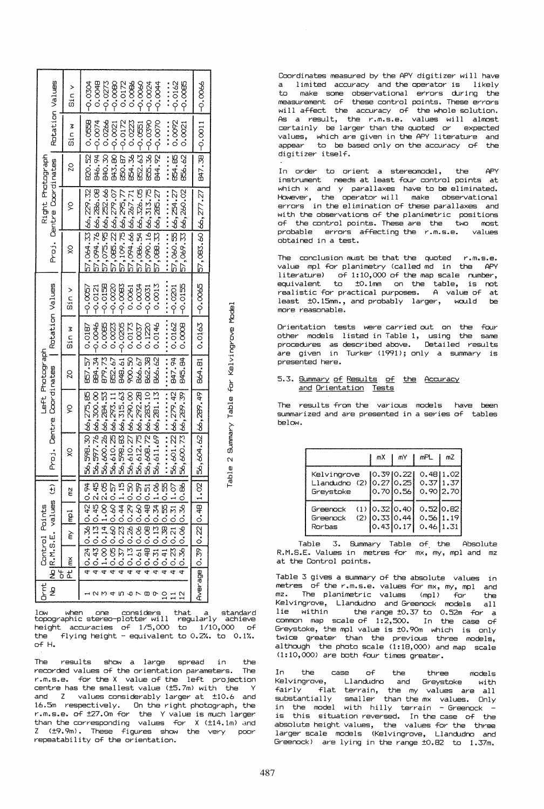|                                              | sin v   | 0.0048<br>$-0.0162$<br>$-0.0304$<br>-0.080<br>P<br>$-0.0044$<br>$-0.0273$<br>0.0172<br>0.0086<br>-0.0060<br>$-0.0085$<br>$-0.0024$<br>-<br>-<br>-<br>-                                                                                                                       |                        |
|----------------------------------------------|---------|------------------------------------------------------------------------------------------------------------------------------------------------------------------------------------------------------------------------------------------------------------------------------|------------------------|
| Rotation Values                              | sin w   | 0.0092<br>820.52 0.0558<br>844.92 - 0.0070<br>B46.94 -0.0074<br>840.30 0.0266<br><b></b><br>850.87 -0.0172<br>0.0223<br>855.36 -0.0390<br>0.0021<br>B43.BO <sub>1</sub> -0.0021<br>852.63 -0.0551                                                                            | 847.38 -0.011 -0.0066  |
|                                              | g       | B54.36<br>854.85<br>856.62                                                                                                                                                                                                                                                   |                        |
| Right Photograph<br>Proj. Centre Coordinates | ş       | 57,064.33 66,229.32<br>57,094.76 66,286.08<br>57,075.95 66,252.66<br>57,085.22 66,279.07<br>57,086.54 66,326.05<br>57,090.1666,313.75<br>57,088.33 66,285.27<br>57,069.33 66,260.02<br>57, 109.75 66, 295, 77<br>57,094.66 66,267.71<br><b>*******************</b>           | 57,083,6066,277.27     |
|                                              | ŏ       | 57,060.55 66,254.27                                                                                                                                                                                                                                                          |                        |
| Rotation Values                              | Sin     | $1 - 0.0155$<br>$-0.0158$<br>$-0.0020$<br>0.0034<br>0.0013<br>$-0.0083$<br>$-0.0057$<br>$-0.0201$<br>$-0.0121$<br>$-0.0031$<br>0.0061                                                                                                                                        | $0.0163$ -0.065        |
|                                              | Sin w   | 845.84 0.008<br>847.94 0.0162<br>0.0146<br>884, 34 - 0, 0046<br>0.0085<br>0.1220<br>B48.61 - 0.0205<br>0.0187<br>0.0023<br>0.0173<br>0.0037                                                                                                                                  |                        |
| Left Photograph                              | 20      | 852.67<br>879.73<br>857.57<br>900.501<br>866.67<br>862.38<br>866.62                                                                                                                                                                                                          | 864.81                 |
| Proj. Centre Coordinates                     | ò       |                                                                                                                                                                                                                                                                              |                        |
|                                              | ă       | $0.86$   56, 600.73 66, 289.39  <br>56,601.22 66,279.42<br>56, 611.69 66, 281.13<br>56, 598, 30 66, 275, 85<br>56,612.75 66,292.28<br>56,608.72 66,283.10<br>56,610.27 66,290.00<br>56,597.76 66,300.00<br>56,600.26 66,284.53<br>56,598.83 66,315.63<br>56,610.25 66,293.11 | 56,604.62 66,289.49    |
| $\frac{1}{\sqrt{1}}$                         | ğ       | 0.94<br>2.45<br>2.05<br>0.59<br>0.51<br>1.06<br>1.07<br>$\overline{50}$<br>1.15<br>0.55<br>$\frac{57}{1}$                                                                                                                                                                    | 1.02                   |
|                                              | Ē       |                                                                                                                                                                                                                                                                              |                        |
| Control Points                               | È       | 1.00   0.14   1.00<br>0.05066060000<br>0.3610.0610.36                                                                                                                                                                                                                        |                        |
| No R.M.S.E. values                           | Pt   mx | 4 0.43 0.13 0.45<br>4 0.61 0.06 0.60<br>4 0.48 0.08 0.48<br>4 0.24 0.36 0.42<br>4 0.37 0.23 0.44<br>40.130.260.29<br>40.310.130.34<br>4 0.41 0.38 0.55<br>4 0.23 0.21 0.31                                                                                                   |                        |
| ۳,<br>n <sub>rnt</sub><br>ż                  |         | 4<br><b>NN4DOL00</b><br>$\overline{c}$                                                                                                                                                                                                                                       | Average 0.39 0.22 0.48 |

Mode<sub>1</sub>

Summary Table for Kelvingrove

Table 2

low when one considers that a standard<br>topographic\_stereo-plotter\_will\_regularly\_achieve<br>height\_accuracies\_of\_1/5,000\_to\_1/10,000\_of the flying height - equivalent to  $0.2\%$ . to  $0.1\%$ . of H.

results show a large spread in The the recorded values of the orientation parameters. The r.m.s.e. for the X value of the left projection centre has the smallest value (±5.7m) with the Y and Z values considerably larger at t10.6 and 16.5m respectively. On the right photograph, the<br>r.m.s.e. of ±27.0m for the Y value is much larger<br>than the corresponding values for X (±14.1m) and Z (±9.9m). These figures show the very poor repeatability of the orientation.

Coordinates measured by the APY digitizer will have a limited accuracy and the operator is likely  $In$ make some observational errors during the measurement of these control points. These errors will affect the accuracy of the whole solution. As a result, the r.m.s.e. values will almost certainly be larger than the quoted or expected values, which are given in the APY literature and<br>appear to be based only on the accuracy of the digitizer itself.

In order to orient a stereomodel, APY the instrument needs at least four control points at which x and y parallaxes have to be-eliminated.<br>However, the operator will make observational errors in the elimination of these parallaxes and with the observations of the planimetric positions of the control points. These are the two most probable errors affecting the r.m.s.e. values obtained in a test.

The conclusion must be that the quoted r.m.s.e. value mpl for planimetry (called md in the APY literature) of 1:10,000 of the map scale number, equivalent to to.1mm on the table, is not<br>realistic for practical purposes. A value of at least t0.15mm., and probably larger, would be more reasonable.

Orientation tests were carried out on the four other models listed in Table 1, using the same<br>procedures as described above. Detailed results are given in Turker (1991); only a summary is presented here.

# 5.3. Summary of Results of the Accuracy and Orientation Tests

The results from the various models have been summarized and are presented in a series of tables below.

|                                                               | mX                                               | mΥ            | mPL                                      | mZ |
|---------------------------------------------------------------|--------------------------------------------------|---------------|------------------------------------------|----|
| Kelvingrove<br>Llandudno (2) 0.27 0.25 0.37 1.37<br>Greystoke | [0.39]0.22]                                      | $0.70$ $0.56$ | 0.4811.02<br>0.9012.70                   |    |
| Greenock<br>Greenock<br>Rorbas                                | $(1)$ 0.32 0.40<br>$(2)$ 0.33 0.44<br> 0.43 0.17 |               | 0.5210.82<br>$0.56$  1.19<br>$0.46$ 1.31 |    |

Table 3. Summary Table of the Absolute R.M.S.E. Values in metres for mx, my, mpl and mz at the Control points.

Table 3 gives a summary of the absolute values in metres of the r.m.s.e. values for mx, my, mpl and mz. The planimetric values (mpl) for<br>Kelvingrove, Llandudno and Greenock models the  $a11$ lie within the range 10.37 to 0.52m for a<br>common map scale of 1:2,500. In the case of Greystoke, the mpl value is t0.90m which is only twice greater than the previous three models,<br>although the photo scale (1:18,000) and map scale  $(1:10,000)$  are both four times greater.

the  $\circ$ f In case the three  $models$ Llandudno and Greystoke Kelvingrove, with fairly flat terrain, the my values are all<br>substantially smaller than the mx values. Only<br>in the model with hilly terrain - Greenock is this situation reversed. In the case of the absolute height values, the values for the three larger scale models (Kelvingrove, Llandudno and Greenock) are lying in the range to.82 to 1.37m.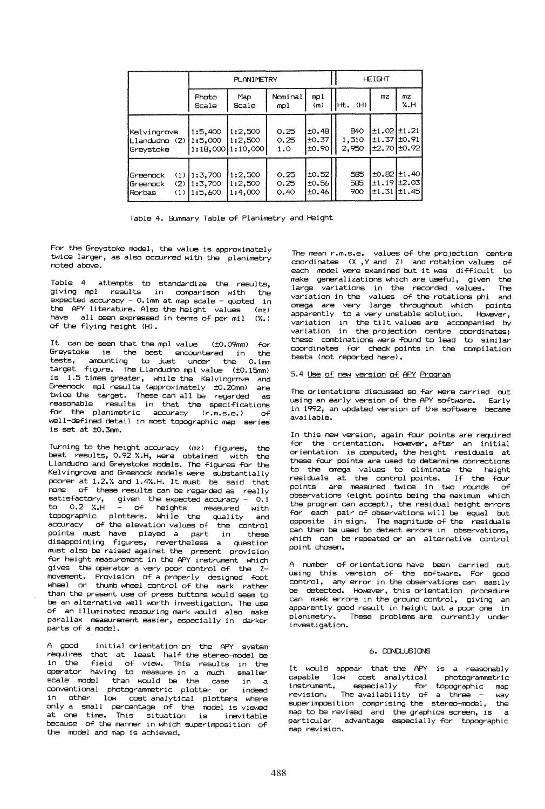|                                                                | <b>PLANIMETRY</b>                   |                                               |                      | <b>HEIGHT</b>                       |                       |                                                                     |                     |
|----------------------------------------------------------------|-------------------------------------|-----------------------------------------------|----------------------|-------------------------------------|-----------------------|---------------------------------------------------------------------|---------------------|
|                                                                | Photo<br>Scale                      | Map<br>Scale                                  | Nominal<br>mpl       | mpl<br>(m)                          | IHt.<br>(H)           | mz                                                                  | mz<br>%.H           |
| Kelvingrove<br>ILlandudno (2)<br>Greystoke                     | 1:5.400<br>1:5.000                  | 1:2,500<br>1:2,500<br>$1:18,000$   $1:10,000$ | 0.25<br>0.25<br>1.0  | ±0.48 <br>±0.37<br>±0.90            | 840<br>1.510<br>2.950 | $\pm 1.02 \pm 1.21$<br><u> +1,37 +0.91</u><br>$\pm 2.70$ $\pm 0.92$ |                     |
| Greenock<br>(2)<br><b>I</b> Greenock<br>(1)<br><b>I</b> Rorbas | $(1)$ 1:3,700<br>1:3.700<br>1:5.600 | 1:2,500<br>1:2,500<br>1:4,000                 | 0.25<br>0.25<br>0.40 | <b>to.52</b><br>$\pm 0.56$<br>±0.46 | 585<br>585<br>900     | to.821t1.40<br>$\pm 1.19 \pm 2.03$                                  | $\pm 1.31 \pm 1.45$ |

Table 4. Summary Table of Planimetry and Height

For the Greystoke model, the value is approximately twice larger, as also occurred with the planimetry noted above.

Table 4 attempts to standardize the results, giving mpl results in comparison with the expected accuracy - O.lmm at map scale - quoted in the APY literature. Also the height values (mz) have all been expressed in terms of per mil (%.) of the flying height (H).

It can be seen that the mpl value (±0.09mm) for Greystoke is the best encountered in the tests, amounting to just under the O.lmm  $target$  figure. The Llanctudno mpl value  $(t0.15mn)$ is 1.5 times greater, while the Kelvingrove and Greenock mpl results (approximately ±O.2Omm) are twice the target. These can all be regarded as reasonable results in that the specifications for the planimetric accuracy (r.m.s.e.) of well-defined detail in most topographic map series is set at ±O.3mm.

Turning to the height accuracy (mz) figures, the best results, 0.92 %.H, were obtained with the best results, 0.92 %.H, were obtained with the<br>Llandudno and Greystoke models. The figures for the Kelvingrove and Greenock models were substantially poorer at 1.2.% and 1.4%.H. It must be said that none of these results can be regarded as really satisfactory, given the expected accuracy -  $0.1$ to 0.2 %.H oT heights measured with topographic plotters. While the quality and accuracy of the elevation values oT the control points must have played a part in these disappointing figures, nevertheless a question must also be raised against the present provlslon for height measurement in the APY instrument which gives the operator a very poor control of the Zmovement. Provision of a properly designed foot wheel or thumb wheel control of the mark rather than the present use of press buttons would seem to be an alternative well worth investigation. The use oT an illuminated measuring mark would also make parallax measurement easier, especially in darker .<br>parts of a model.

A good initial orientation on the APY system  $r$  equires that at least half the stereo-model be in the stereo-model be the step of  $r$  of  $r$  is the step in the step  $r$ field of view. This results in the operator having to measure in a much smaller<br>scale model than would be the case in a  $scale$  model  $then$  would be the case conventional photogrammetric plotter or indeed in other low cost analytical plotters where only a small percentage oT the model is viewed at one time. This situation is inevitable because oT the manner in which superimposition of the model and map is achieved.

The mean r.m.s.e. values of the projection centre  $coordinates (X, Y, and Z) and rotation values of$ each model were examined but it was difficult to make generalizations which are useful, given the large variations in the recorded values. The variation in the values of the rotations phi and omega are very large throughout which points apparently to a very unstable solution. However, variation in the tilt values are accompanied by variation in the projection centre coordinates; these combinations were found to lead to similar coordinates for check points in the compilation tests (not reported here).

# 5.4 Use of new version of APY Program

The orientations discussed so far were carried out<br>using an early version of the APY software. Early using an early version of the APY software. in 1992, an updated version of the software became avai lable.

In this new version, again four points are required for the orientation. However, after an initial orientation is computed, the height residuals at these four points are used to determine corrections to the omega values to eliminate the height residuals at the control points. If the four points are measured twice in two rounds of observations (eight points being the maximum which the program can accept), the residual height errors for each pair of observations will be equal but opposite in sign. The magnitude of the residuals can then be used to detect errors in observations, which can be repeated or an alternative control point chosen.

A number of orientations have been carried out using this version of the software. For good control, any error in the observations can easily be detected. However, this orientation procedure can mask errors in the ground control, giving an apparently good result in height but a poor one in planimetry. These problems are currently under investigation.

# 6. CONCLUSIONS

It would appear that the APY is a reasonably capable low cost analytical instrument, especially for topographic map  $revision.$  The availability of a three - way superimposition comprising the stereo-model, the map to be revised and the graphics screen, is a particular advantage especially for topographic map revision.